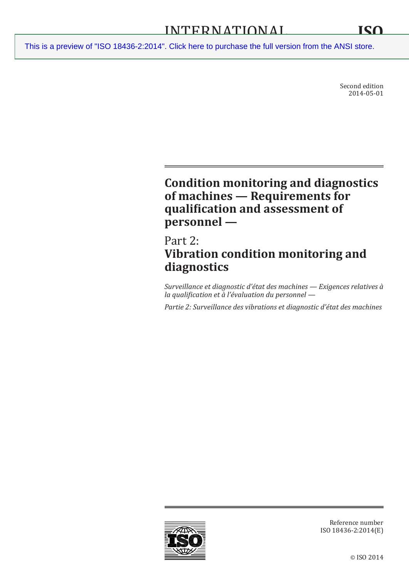Second edition 2014-05-01

# **Condition monitoring and diagnostics of machines — Requirements for qualification and assessment of personnel —**

## Part 2: **Vibration condition monitoring and diagnostics**

*Surveillance et diagnostic d'état des machines — Exigences relatives à la qualification et à l'évaluation du personnel —*

*Partie 2: Surveillance des vibrations et diagnostic d'état des machines*

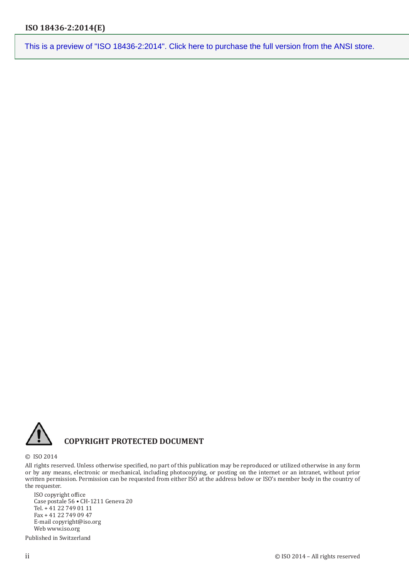

### **COPYRIGHT PROTECTED DOCUMENT**

© ISO 2014

All rights reserved. Unless otherwise specified, no part of this publication may be reproduced or utilized otherwise in any form or by any means, electronic or mechanical, including photocopying, or posting on the internet or an intranet, without prior written permission. Permission can be requested from either ISO at the address below or ISO's member body in the country of the requester.

ISO copyright office Case postale 56 • CH-1211 Geneva 20 Tel. + 41 22 749 01 11 Fax + 41 22 749 09 47 E-mail copyright@iso.org Web www.iso.org

Published in Switzerland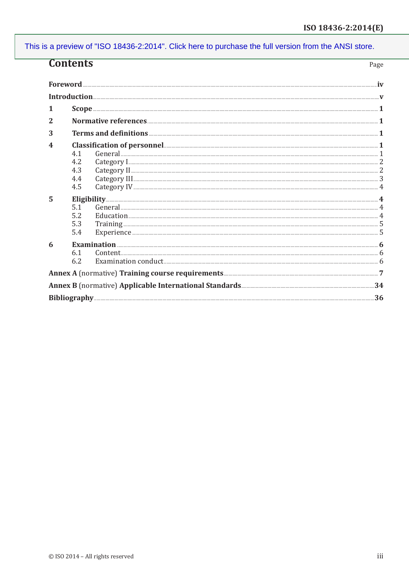|        | <b>Contents</b>                                                                                                                                                                  | Page |
|--------|----------------------------------------------------------------------------------------------------------------------------------------------------------------------------------|------|
|        |                                                                                                                                                                                  |      |
|        |                                                                                                                                                                                  |      |
|        |                                                                                                                                                                                  |      |
| 2      |                                                                                                                                                                                  |      |
| 3      | Terms and definitions <b>Exercise According to the Contract of According Contract and According 1</b>                                                                            |      |
| 4<br>5 | Classification of personnel<br>4.1<br>4.2<br>Category I <u>www.communications.communications.communications.communications.communications</u><br>4.3<br>4.4<br>4.5<br>5.1<br>5.2 |      |
|        | 5.3<br>5.4                                                                                                                                                                       |      |
| 6      | 6.1<br>6.2                                                                                                                                                                       |      |
|        | Annex A (normative) Training course requirements <b>Example 2018</b> 7                                                                                                           |      |
|        |                                                                                                                                                                                  |      |
|        |                                                                                                                                                                                  |      |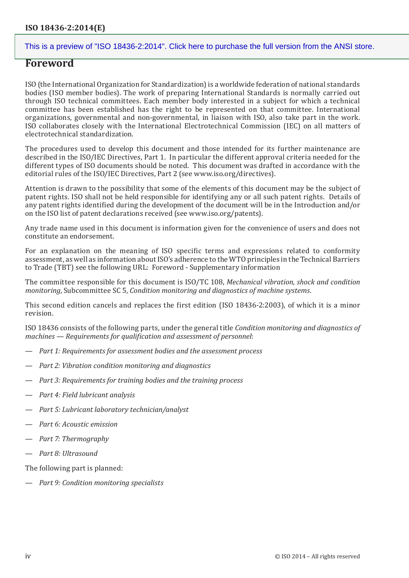### **Foreword**

ISO (the International Organization for Standardization) is a worldwide federation of national standards bodies (ISO member bodies). The work of preparing International Standards is normally carried out through ISO technical committees. Each member body interested in a subject for which a technical committee has been established has the right to be represented on that committee. International organizations, governmental and non-governmental, in liaison with ISO, also take part in the work. ISO collaborates closely with the International Electrotechnical Commission (IEC) on all matters of electrotechnical standardization.

The procedures used to develop this document and those intended for its further maintenance are described in the ISO/IEC Directives, Part 1. In particular the different approval criteria needed for the different types of ISO documents should be noted. This document was drafted in accordance with the editorial rules of the ISO/IEC Directives, Part 2 (see [www.iso.org/directives\)](http://www.iso.org/directives).

Attention is drawn to the possibility that some of the elements of this document may be the subject of patent rights. ISO shall not be held responsible for identifying any or all such patent rights. Details of any patent rights identified during the development of the document will be in the Introduction and/or on the ISO list of patent declarations received (see [www.iso.org/patents](http://www.iso.org/patents)).

Any trade name used in this document is information given for the convenience of users and does not constitute an endorsement.

For an explanation on the meaning of ISO specific terms and expressions related to conformity assessment, as well as information about ISO's adherence to the WTO principles in the Technical Barriers to Trade (TBT) see the following URL: [Foreword - Supplementary information](http://www.iso.org/iso/home/standards_development/resources-for-technical-work/foreword.htm)

The committee responsible for this document is ISO/TC 108, *Mechanical vibration, shock and condition monitoring*, Subcommittee SC 5, *Condition monitoring and diagnostics of machine systems*.

This second edition cancels and replaces the first edition (ISO 18436‑2:2003), of which it is a minor revision.

ISO 18436 consists of the following parts, under the general title *Condition monitoring and diagnostics of machines — Requirements for qualification and assessment of personnel*:

- *Part 1: Requirements for assessment bodies and the assessment process*
- *Part 2: Vibration condition monitoring and diagnostics*
- *Part 3: Requirements for training bodies and the training process*
- *Part 4: Field lubricant analysis*
- *Part 5: Lubricant laboratory technician/analyst*
- *Part 6: Acoustic emission*
- *Part 7: Thermography*
- *Part 8: Ultrasound*

The following part is planned:

— *Part 9: Condition monitoring specialists*